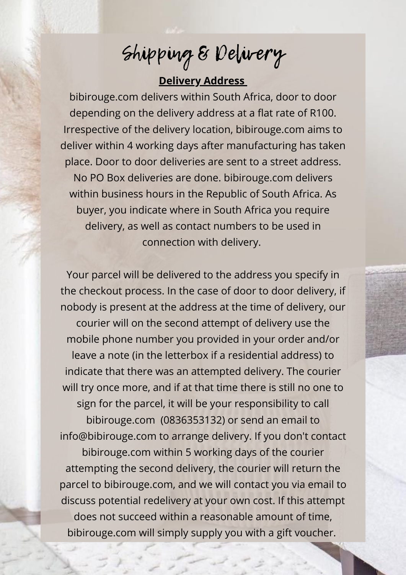## **Delivery Address**

bibirouge.com delivers within South Africa, door to door depending on the delivery address at a flat rate of R100. Irrespective of the delivery location, bibirouge.com aims to deliver within 4 working days after manufacturing has taken place. Door to door deliveries are sent to a street address. No PO Box deliveries are done. bibirouge.com delivers within business hours in the Republic of South Africa. As buyer, you indicate where in South Africa you require delivery, as well as contact numbers to be used in connection with delivery.

Your parcel will be delivered to the address you specify in the checkout process. In the case of door to door delivery, if nobody is present at the address at the time of delivery, our courier will on the second attempt of delivery use the mobile phone number you provided in your order and/or leave a note (in the letterbox if a residential address) to indicate that there was an attempted delivery. The courier will try once more, and if at that time there is still no one to sign for the parcel, it will be your responsibility to call bibirouge.com (0836353132) or send an email to info@bibirouge.com to arrange delivery. If you don't contact bibirouge.com within 5 working days of the courier attempting the second delivery, the courier will return the parcel to bibirouge.com, and we will contact you via email to discuss potential redelivery at your own cost. If this attempt does not succeed within a reasonable amount of time, bibirouge.com will simply supply you with a gift voucher.

Shipping & Delivery